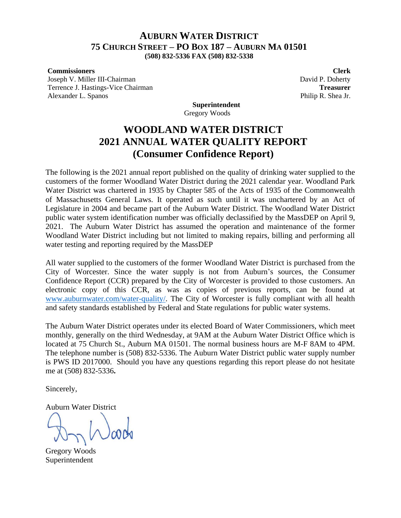# **AUBURN WATER DISTRICT 75 CHURCH STREET – PO BOX 187 – AUBURN MA 01501**

**(508) 832-5336 FAX (508) 832-5338**

#### **Commissioners Clerk**

Joseph V. Miller III-Chairman David P. Doherty Terrence J. Hastings-Vice Chairman **Treasurer** Alexander L. Spanos **Philip R. Shea Jr.** (1994) **Philip R. Shea Jr.** (1995) **Philip R. Shea Jr.** (1995) **Philip R. Shea Jr.** (1995) **Philip R. Shea Jr.** (1995) **Philip R. Shea Jr.** (1995) **Philip R. Shea Jr.** (1995) **Phili** 

**Superintendent** Gregory Woods

# **WOODLAND WATER DISTRICT 2021 ANNUAL WATER QUALITY REPORT (Consumer Confidence Report)**

The following is the 2021 annual report published on the quality of drinking water supplied to the customers of the former Woodland Water District during the 2021 calendar year. Woodland Park Water District was chartered in 1935 by Chapter 585 of the Acts of 1935 of the Commonwealth of Massachusetts General Laws. It operated as such until it was unchartered by an Act of Legislature in 2004 and became part of the Auburn Water District. The Woodland Water District public water system identification number was officially declassified by the MassDEP on April 9, 2021. The Auburn Water District has assumed the operation and maintenance of the former Woodland Water District including but not limited to making repairs, billing and performing all water testing and reporting required by the MassDEP

All water supplied to the customers of the former Woodland Water District is purchased from the City of Worcester. Since the water supply is not from Auburn's sources, the Consumer Confidence Report (CCR) prepared by the City of Worcester is provided to those customers. An electronic copy of this CCR, as was as copies of previous reports, can be found at [www.auburnwater.com/water-quality/.](http://www.auburnwater.com/water-quality/) The City of Worcester is fully compliant with all health and safety standards established by Federal and State regulations for public water systems.

The Auburn Water District operates under its elected Board of Water Commissioners, which meet monthly, generally on the third Wednesday, at 9AM at the Auburn Water District Office which is located at 75 Church St., Auburn MA 01501. The normal business hours are M-F 8AM to 4PM. The telephone number is (508) 832-5336. The Auburn Water District public water supply number is PWS ID 2017000. Should you have any questions regarding this report please do not hesitate me at (508) 832-5336**.**

Sincerely,

Auburn Water District

Gregory Woods Superintendent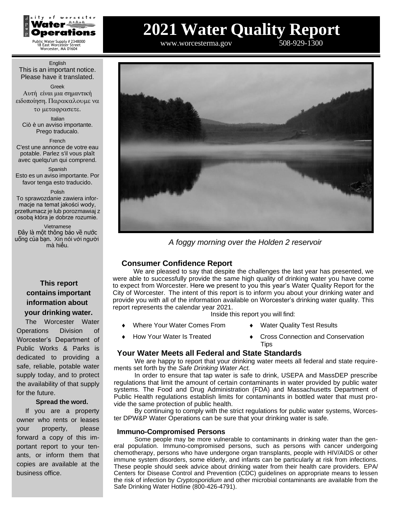

Public Water Supply # 2348000 18 East Worcester Street Worcester, MA 01604

#### English This is an important notice. Please have it translated.

Greek Αυτή είναι μια σημαντική ειδοποίηση.

το μεταφρασετε.

Italian Ciò è un avviso importante. Prego traducalo.

French

C'est une annonce de votre eau potable. Parlez s'il vous plaît avec quelqu'un qui comprend.

Spanish Esto es un aviso importante. Por favor tenga esto traducido.

Polish

To sprawozdanie zawiera informacje na temat jakości wody, przetłumacz je lub porozmawiaj z osobą która je dobrze rozumie.

Vietnamese Đây là một thông báo về nước uống của bạn. Xin nói với người mà hiểu.

# **This report contains important information about your drinking water.**

The Worcester Water Operations Division of Worcester's Department of Public Works & Parks is dedicated to providing a safe, reliable, potable water supply today, and to protect the availability of that supply for the future.

## **Spread the word.**

If you are a property owner who rents or leases your property, please forward a copy of this important report to your tenants, or inform them that copies are available at the business office.

# **2021 Water Quality Report**

[www.worcesterma.gov](http://www.worcesterma.gov/) 508-929-1300



*A foggy morning over the Holden 2 reservoir*

# **Consumer Confidence Report**

We are pleased to say that despite the challenges the last year has presented, we were able to successfully provide the same high quality of drinking water you have come to expect from Worcester. Here we present to you this year's Water Quality Report for the City of Worcester. The intent of this report is to inform you about your drinking water and provide you with all of the information available on Worcester's drinking water quality. This report represents the calendar year 2021.

Inside this report you will find:

- Where Your Water Comes From  $\bullet$  Water Quality Test Results
- 
- 
- How Your Water Is Treated Cross Connection and Conservation **Tips**

# **Your Water Meets all Federal and State Standards**

We are happy to report that your drinking water meets all federal and state requirements set forth by the *Safe Drinking Water Act.*

In order to ensure that tap water is safe to drink, USEPA and MassDEP prescribe regulations that limit the amount of certain contaminants in water provided by public water systems. The Food and Drug Administration (FDA) and Massachusetts Department of Public Health regulations establish limits for contaminants in bottled water that must provide the same protection of public health.

By continuing to comply with the strict regulations for public water systems, Worcester DPW&P Water Operations can be sure that your drinking water is safe.

# **Immuno-Compromised Persons**

Some people may be more vulnerable to contaminants in drinking water than the general population. Immuno-compromised persons, such as persons with cancer undergoing chemotherapy, persons who have undergone organ transplants, people with HIV/AIDS or other immune system disorders, some elderly, and infants can be particularly at risk from infections. These people should seek advice about drinking water from their health care providers. EPA/ Centers for Disease Control and Prevention (CDC) guidelines on appropriate means to lessen the risk of infection by *Cryptosporidium* and other microbial contaminants are available from the Safe Drinking Water Hotline (800-426-4791).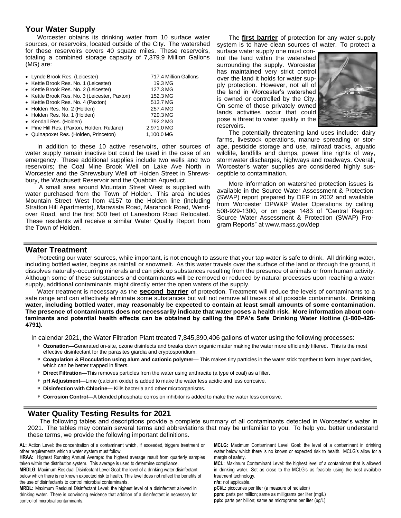# **Your Water Supply**

Worcester obtains its drinking water from 10 surface water sources, or reservoirs, located outside of the City. The watershed for these reservoirs covers 40 square miles. These reservoirs, totaling a combined storage capacity of 7,379.9 Million Gallons (MG) are:

| • Lynde Brook Res. (Leicester)                | 717.4 Million Gallons |
|-----------------------------------------------|-----------------------|
| • Kettle Brook Res. No. 1 (Leicester)         | 19.3 MG               |
| • Kettle Brook Res. No. 2 (Leicester)         | 127.3 MG              |
| • Kettle Brook Res. No. 3 (Leicester, Paxton) | 152.3 MG              |
| • Kettle Brook Res. No. 4 (Paxton)            | 513.7 MG              |
| • Holden Res. No. 2 (Holden)                  | 257.4 MG              |
| • Holden Res. No. 1 (Holden)                  | 729.3 MG              |
| • Kendall Res. (Holden)                       | 792.2 MG              |
| • Pine Hill Res. (Paxton, Holden, Rutland)    | 2,971.0 MG            |
| • Quinapoxet Res. (Holden, Princeton)         | 1.100.0 MG            |

In addition to these 10 active reservoirs, other sources of water supply remain inactive but could be used in the case of an emergency. These additional supplies include two wells and two reservoirs; the Coal Mine Brook Well on Lake Ave North in Worcester and the Shrewsbury Well off Holden Street in Shrewsbury, the Wachusett Reservoir and the Quabbin Aqueduct.

A small area around Mountain Street West is supplied with water purchased from the Town of Holden. This area includes Mountain Street West from #157 to the Holden line (including Stratton Hill Apartments), Maravista Road, Maranook Road, Wendover Road, and the first 500 feet of Lanesboro Road Relocated. These residents will receive a similar Water Quality Report from the Town of Holden.

The **first barrier** of protection for any water supply system is to have clean sources of water. To protect a

surface water supply one must control the land within the watershed surrounding the supply. Worcester has maintained very strict control over the land it holds for water supply protection. However, not all of the land in Worcester's watershed is owned or controlled by the City. On some of those privately owned lands activities occur that could pose a threat to water quality in the reservoirs.



The potentially threatening land uses include: dairy farms, livestock operations, manure spreading or storage, pesticide storage and use, railroad tracks, aquatic wildlife, landfills and dumps, power line rights of way, stormwater discharges, highways and roadways. Overall, Worcester's water supplies are considered highly susceptible to contamination.

More information on watershed protection issues is available in the Source Water Assessment & Protection (SWAP) report prepared by DEP in 2002 and available from Worcester DPW&P Water Operations by calling 508-929-1300, or on page 1483 of "Central Region: Source Water Assessment & Protection (SWAP) Program Reports" at [www.mass.gov/dep](http://www.mass.gov/dep)

## **Water Treatment**

Protecting our water sources, while important, is not enough to assure that your tap water is safe to drink. All drinking water, including bottled water, begins as rainfall or snowmelt. As this water travels over the surface of the land or through the ground, it dissolves naturally-occurring minerals and can pick up substances resulting from the presence of animals or from human activity. Although some of these substances and contaminants will be removed or reduced by natural processes upon reaching a water supply, additional contaminants might directly enter the open waters of the supply.

Water treatment is necessary as the **second barrier** of protection. Treatment will reduce the levels of contaminants to a safe range and can effectively eliminate some substances but will not remove all traces of all possible contaminants. **Drinking water, including bottled water, may reasonably be expected to contain at least small amounts of some contamination.**  The presence of contaminants does not necessarily indicate that water poses a health risk. More information about con**taminants and potential health effects can be obtained by calling the EPA's Safe Drinking Water Hotline (1-800-426- 4791).**

In calendar 2021, the Water Filtration Plant treated 7,845,390,406 gallons of water using the following processes:

- **Ozonation—**Generated on-site, ozone disinfects and breaks down organic matter making the water more efficiently filtered. This is the most effective disinfectant for the parasites giardia and cryptosporidium.
- **Coagulation & Flocculation using alum and cationic polymer** This makes tiny particles in the water stick together to form larger particles, which can be better trapped in filters.
- **Direct Filtration—**This removes particles from the water using anthracite (a type of coal) as a filter.
- **pH Adjustment**—Lime (calcium oxide) is added to make the water less acidic and less corrosive.
- **Disinfection with Chlorine—** Kills bacteria and other microorganisms.
- **Corrosion Control—**A blended phosphate corrosion inhibitor is added to make the water less corrosive.

# **Water Quality Testing Results for 2021**

The following tables and descriptions provide a complete summary of all contaminants detected in Worcester's water in 2021. The tables may contain several terms and abbreviations that may be unfamiliar to you. To help you better understand these terms, we provide the following important definitions.

AL: Action Level: the concentration of a contaminant which, if exceeded, triggers treatment or other requirements which a water system must follow.

**HRAA:** Highest Running Annual Average: the highest average result from quarterly samples taken within the distribution system. This average is used to determine compliance.

**MRDLG:** Maximum Residual Disinfectant Level Goal: the level of a drinking water disinfectant below which there is no known expected risk to health. This level does not reflect the benefits of the use of disinfectants to control microbial contaminants.

**MRDL:** Maximum Residual Disinfectant Level: the highest level of a disinfectant allowed in drinking water. There is convincing evidence that addition of a disinfectant is necessary for control of microbial contaminants.

**MCLG:** Maximum Contaminant Level Goal: the level of a contaminant in drinking water below which there is no known or expected risk to health. MCLG's allow for a margin of safety.

**MCL:** Maximum Contaminant Level: the highest level of a contaminant that is allowed in drinking water. Set as close to the MCLG's as feasible using the best available treatment technology.

**n/a:** not applicable. **pCi/L:** picocuries per liter (a measure of radiation) **ppm:** parts per million; same as milligrams per liter (mg/L)

**ppb:** parts per billion; same as micrograms per liter (ug/L)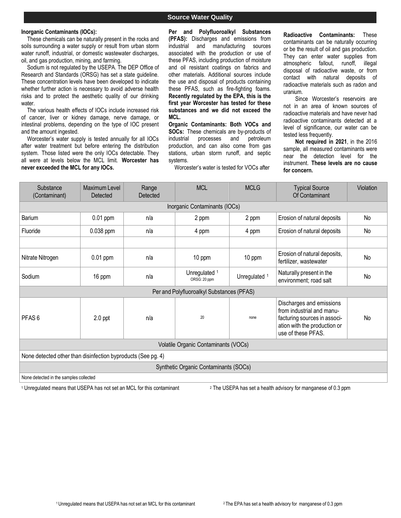# **Source Water Quality**

#### **Inorganic Contaminants (IOCs):**

These chemicals can be naturally present in the rocks and soils surrounding a water supply or result from urban storm water runoff, industrial, or domestic wastewater discharges, oil, and gas production, mining, and farming.

Sodium is not regulated by the USEPA. The DEP Office of Research and Standards (ORSG) has set a state guideline. These concentration levels have been developed to indicate whether further action is necessary to avoid adverse health risks and to protect the aesthetic quality of our drinking water.

The various health effects of IOCs include increased risk of cancer, liver or kidney damage, nerve damage, or intestinal problems, depending on the type of IOC present and the amount ingested.

Worcester's water supply is tested annually for all IOCs after water treatment but before entering the distribution system. Those listed were the only IOCs detectable. They all were at levels below the MCL limit. **Worcester has never exceeded the MCL for any IOCs.**

**Per and Polyfluoroalkyl Substances (PFAS):** Discharges and emissions from industrial and manufacturing sources associated with the production or use of these PFAS, including production of moisture and oil resistant coatings on fabrics and other materials. Additional sources include the use and disposal of products containing these PFAS, such as fire-fighting foams. **Recently regulated by the EPA, this is the first year Worcester has tested for these substances and we did not exceed the MCL.**

**Organic Contaminants: Both VOCs and SOCs:** These chemicals are by-products of industrial processes and petroleum production, and can also come from gas stations, urban storm runoff, and septic systems.

**Radioactive Contaminants:** These contaminants can be naturally occurring or be the result of oil and gas production. They can enter water supplies from atmospheric fallout, runoff, illegal disposal of radioactive waste, or from contact with natural deposits of radioactive materials such as radon and uranium.

Since Worcester's reservoirs are not in an area of known sources of radioactive materials and have never had radioactive contaminants detected at a level of significance, our water can be tested less frequently.

**Not required in 2021**, in the 2016 sample, all measured contaminants were near the detection level for the instrument. **These levels are no cause for concern.**

Worcester's water is tested for VOCs after

| Substance<br>(Contaminant)                                                                                                                                                                               | Maximum Level<br>Detected              | Range<br>Detected | <b>MCL</b>                                | <b>MCLG</b>   | <b>Typical Source</b><br>Of Contaminant                | Violation |  |  |  |
|----------------------------------------------------------------------------------------------------------------------------------------------------------------------------------------------------------|----------------------------------------|-------------------|-------------------------------------------|---------------|--------------------------------------------------------|-----------|--|--|--|
|                                                                                                                                                                                                          |                                        |                   | Inorganic Contaminants (IOCs)             |               |                                                        |           |  |  |  |
| Barium                                                                                                                                                                                                   | 0.01 ppm                               | n/a               | 2 ppm                                     | 2 ppm         | Erosion of natural deposits                            | No        |  |  |  |
| Fluoride                                                                                                                                                                                                 | 0.038 ppm                              | n/a               | 4 ppm                                     | 4 ppm         | Erosion of natural deposits                            | No        |  |  |  |
|                                                                                                                                                                                                          |                                        |                   |                                           |               |                                                        |           |  |  |  |
| Nitrate Nitrogen                                                                                                                                                                                         | $0.01$ ppm                             | n/a               | 10 ppm                                    | 10 ppm        | Erosion of natural deposits,<br>fertilizer, wastewater | <b>No</b> |  |  |  |
| Sodium                                                                                                                                                                                                   | 16 ppm                                 | n/a               | Unregulated 1<br>ORSG: 20 ppm             | Unregulated 1 | Naturally present in the<br>environment; road salt     | No        |  |  |  |
|                                                                                                                                                                                                          |                                        |                   | Per and Polyfluoroalkyl Substances (PFAS) |               |                                                        |           |  |  |  |
| Discharges and emissions<br>from industrial and manu-<br>20<br>PFAS <sub>6</sub><br>n/a<br>$2.0$ ppt<br>facturing sources in associ-<br>No<br>none<br>ation with the production or<br>use of these PFAS. |                                        |                   |                                           |               |                                                        |           |  |  |  |
| Volatile Organic Contaminants (VOCs)                                                                                                                                                                     |                                        |                   |                                           |               |                                                        |           |  |  |  |
| None detected other than disinfection byproducts (See pg. 4)                                                                                                                                             |                                        |                   |                                           |               |                                                        |           |  |  |  |
|                                                                                                                                                                                                          | Synthetic Organic Contaminants (SOCs)  |                   |                                           |               |                                                        |           |  |  |  |
|                                                                                                                                                                                                          | None detected in the samples collected |                   |                                           |               |                                                        |           |  |  |  |

<sup>1</sup> Unregulated means that USEPA has not set an MCL for this contaminant <sup>2</sup> The USEPA has set a health advisory for manganese of 0.3 ppm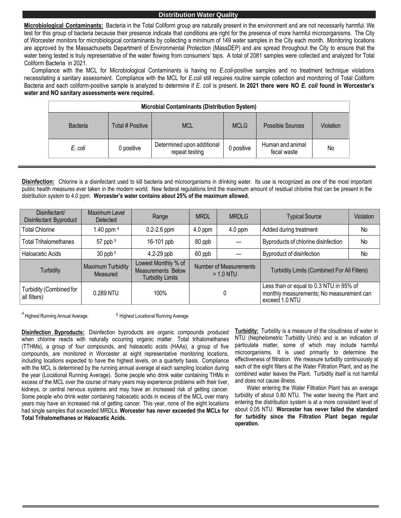#### **Distribution Water Quality**

**Microbiological Contaminants:** Bacteria in the Total Coliform group are naturally present in the environment and are not necessarily harmful. We test for this group of bacteria because their presence indicate that conditions are right for the presence of more harmful microorganisms. The City of Worcester monitors for microbiological contaminants by collecting a minimum of 149 water samples in the City each month. Monitoring locations are approved by the Massachusetts Department of Environmental Protection (MassDEP) and are spread throughout the City to ensure that the water being tested is truly representative of the water flowing from consumers' taps. A total of 2081 samples were collected and analyzed for Total Coliform Bacteria in 2021.

Compliance with the MCL for Microbiological Contaminants is having no *E.coli*-positive samples and no treatment technique violations necessitating a sanitary assessment. Compliance with the MCL for *E.coli* still requires routine sample collection and monitoring of Total Coliform Bacteria and each coliform-positive sample is analyzed to determine if *E. coli* is present. **In 2021 there were NO** *E. coli* **found in Worcester's water and NO sanitary assessments were required.**

| <b>Microbial Contaminants (Distribution System)</b> |                  |                                              |             |                                 |           |  |
|-----------------------------------------------------|------------------|----------------------------------------------|-------------|---------------------------------|-----------|--|
| Bacteria                                            | Total # Positive | <b>MCL</b>                                   | <b>MCLG</b> | Possible Sources                | Violation |  |
| E. coli                                             | 0 positive       | Determined upon additional<br>repeat testing | 0 positive  | Human and animal<br>fecal waste | No        |  |

**Disinfection:** Chlorine is a disinfectant used to kill bacteria and microorganisms in drinking water. Its use is recognized as one of the most important public health measures ever taken in the modern world. New federal regulations limit the maximum amount of residual chlorine that can be present in the distribution system to 4.0 ppm. **Worcester's water contains about 25% of the maximum allowed.**

| Disinfectant/<br>Disinfectant Byproduct | Maximum Level<br>Detected     | <b>MRDL</b><br>Range                                                 |                                              | <b>MRDLG</b>           | <b>Typical Source</b>                                                                                 | Violation |
|-----------------------------------------|-------------------------------|----------------------------------------------------------------------|----------------------------------------------|------------------------|-------------------------------------------------------------------------------------------------------|-----------|
| Total Chlorine                          | 1.40 ppm $4$                  | $0.2 - 2.6$ ppm<br>$4.0$ ppm<br>$4.0$ ppm                            |                                              | Added during treatment | No                                                                                                    |           |
| Total Trihalomethanes                   | 57 ppb $5$                    | 16-101 ppb                                                           | 80 ppb                                       |                        | Byproducts of chlorine disinfection                                                                   | No        |
| <b>Haloacetic Acids</b>                 | $30$ ppb $5$                  | $4.2 - 29$ ppb                                                       | 60 ppb                                       |                        | <b>Byproduct of disinfection</b>                                                                      | No        |
| Turbidity                               | Maximum Turbidity<br>Measured | Lowest Monthly % of<br>Measurements Below<br><b>Turbidity Limits</b> | <b>Number of Measurements</b><br>$> 1.0$ NTU |                        | Turbidity Limits (Combined For All Filters)                                                           |           |
| Turbidity (Combined for<br>all filters) | 0.289 NTU                     | 100%                                                                 |                                              |                        | Less than or equal to 0.3 NTU in 95% of<br>monthly measurements; No measurement can<br>exceed 1.0 NTU |           |

<sup>4</sup> Highest Running Annual Average.

<sup>5</sup> Highest Locational Running Average

**Disinfection Byproducts:** Disinfection byproducts are organic compounds produced when chlorine reacts with naturally occurring organic matter. Total trihalomethanes (TTHMs), a group of four compounds, and haloacetic acids (HAAs), a group of five compounds, are monitored in Worcester at eight representative monitoring locations, including locations expected to have the highest levels, on a quarterly basis. Compliance with the MCL is determined by the running annual average at each sampling location during the year (Locational Running Average). Some people who drink water containing THMs in excess of the MCL over the course of many years may experience problems with their liver, kidneys, or central nervous systems and may have an increased risk of getting cancer. Some people who drink water containing haloacetic acids in excess of the MCL over many years may have an increased risk of getting cancer. This year, none of the eight locations had single samples that exceeded MRDLs. **Worcester has never exceeded the MCLs for Total Trihalomethanes or Haloacetic Acids.**

**Turbidity:** Turbidity is a measure of the cloudiness of water in NTU (Nephelometric Turbidity Units) and is an indication of particulate matter, some of which may include harmful microorganisms. It is used primarily to determine the effectiveness of filtration. We measure turbidity continuously at each of the eight filters at the Water Filtration Plant, and as the combined water leaves the Plant. Turbidity itself is not harmful and does not cause illness.

Water entering the Water Filtration Plant has an average turbidity of about 0.80 NTU. The water leaving the Plant and entering the distribution system is at a more consistent level of about 0.05 NTU. **Worcester has never failed the standard for turbidity since the Filtration Plant began regular operation.**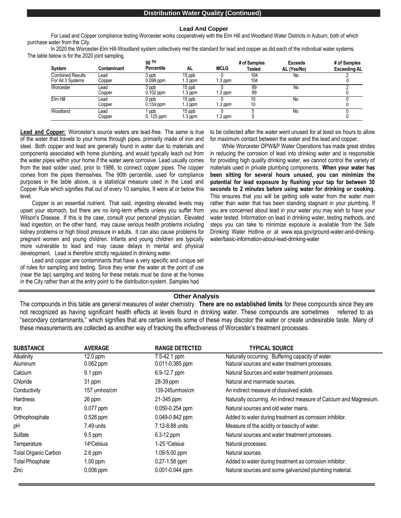#### **Distribution Water Quality (Continued)**

#### **Lead And Copper**

For Lead and Copper compliance testing Worcester works cooperatively with the Elm Hill and Woodland Water Districts in Auburn, both of which purchase water from the City.

In 2020 the Worcester-Elm Hill-Woodland system collectively met the standard for lead and copper as did each of the individual water systems. The table below is for the 2020 joint sampling.

|                         |             | 90 TH<br>Percentile |          |             | # of Samples | <b>Exceeds</b> | # of Samples        |
|-------------------------|-------------|---------------------|----------|-------------|--------------|----------------|---------------------|
| <b>System</b>           | Contaminant |                     | AL       | <b>MCLG</b> | Tested       | AL (Yes/No)    | <b>Exceeding AL</b> |
| <b>Combined Results</b> | Lead        | 3 ppb               | 15 ppb   |             | 104          | No             |                     |
| For All 3 Systems       | Copper      | $0.099$ ppm         | 1.3 ppm  | .3 ppm      | 104          |                |                     |
| Worcester               | Lead        | 3 ppb               | 15 ppb   |             | 89           | No             |                     |
|                         | Copper      | $0.102$ ppm         | i 3 ppm  | 1.3 ppm     | 89           |                |                     |
| Elm Hill                | Lead        | $0$ ppb             | 15 ppb   |             | 10           | No             |                     |
|                         | Copper      | $0.159$ ppm         | $.3$ ppm | .3 ppm      | 10           |                |                     |
| Woodland                | Lead        | ppb                 | 15 ppb   |             |              | No             |                     |
|                         | Copper      | $0.125$ ppm         | 1.3 ppm  | i.3 ppm     |              |                |                     |

**Lead and Copper:** Worcester's source waters are lead-free. The same is true of the water that travels to your home through pipes, primarily made of iron and steel. Both copper and lead are generally found in water due to materials and components associated with home plumbing, and would typically leach out from the water pipes within your home if the water were corrosive. Lead usually comes from the lead solder used, prior to 1986, to connect copper pipes. The copper comes from the pipes themselves. The 90th percentile, used for compliance purposes in the table above, is a statistical measure used in the Lead and Copper Rule which signifies that out of every 10 samples, 9 were at or below this level.

Copper is an essential nutrient. That said, ingesting elevated levels may upset your stomach, but there are no long-term effects unless you suffer from Wilson's Disease. If this is the case, consult your personal physician. Elevated lead ingestion, on the other hand, may cause serious health problems including kidney problems or high blood pressure in adults. It can also cause problems for pregnant women and young children. Infants and young children are typically more vulnerable to lead and may cause delays in mental and physical development. Lead is therefore strictly regulated in drinking water.

Lead and copper are contaminants that have a very specific and unique set of rules for sampling and testing. Since they enter the water at the point of use (near the tap) sampling and testing for these metals must be done at the homes in the City rather than at the entry point to the distribution system. Samples had

to be collected after the water went unused for at least six hours to allow for maximum contact between the water and the lead and copper.

While Worcester DPW&P Water Operations has made great strides in reducing the corrosion of lead into drinking water and is responsible for providing high quality drinking water, we cannot control the variety of materials used in private plumbing components. **When your water has been sitting for several hours unused, you can minimize the potential for lead exposure by flushing your tap for between 30 seconds to 2 minutes before using water for drinking or cooking.**  This ensures that you will be getting safe water from the water main rather than water that has been standing stagnant in your plumbing. If you are concerned about lead in your water you may wish to have your water tested. Information on lead in drinking water, testing methods, and steps you can take to minimize exposure is available from the Safe Drinking Water Hotline or at [www.epa.gov/ground-water-and-drinking](http://www.epa.gov/ground-water-and-drinking-)water/basic-information-about-lead-drinking-water

#### **Other Analysis**

The compounds in this table are general measures of water chemistry. **There are no established limits** for these compounds since they are not recognized as having significant health effects at levels found in drinking water. These compounds are sometimes referred to as "secondary contaminants," which signifies that are certain levels some of these may discolor the water or create undesirable taste. Many of these measurements are collected as another way of tracking the effectiveness of Worcester's treatment processes.

| <b>SUBSTANCE</b>            | <b>AVERAGE</b>          | <b>RANGE DETECTED</b>     | <b>TYPICAL SOURCE</b>                                              |
|-----------------------------|-------------------------|---------------------------|--------------------------------------------------------------------|
| Alkalinity                  | $12.0$ ppm              | 7.5-42.1 ppm              | Naturally occurring. Buffering capacity of water.                  |
| Aluminum                    | $0.062$ ppm             | 0.011-0.385 ppm           | Natural sources and water treatment processes.                     |
| Calcium                     | 9.1 ppm                 | 6.9-12.7 ppm              | Natural Sources and water treatment processes.                     |
| Chloride                    | 31 ppm                  | 28-39 ppm                 | Natural and manmade sources.                                       |
| Conductivity                | 157 umhos/cm            | 139-245umhos/cm           | An indirect measure of dissolved solids.                           |
| <b>Hardness</b>             | 26 ppm                  | 21-345 ppm                | Naturally occurring. An indirect measure of Calcium and Magnesium. |
| Iron                        | $0.077$ ppm             | 0.050-0.254 ppm           | Natural sources and old water mains.                               |
| Orthophosphate              | $0.526$ ppm             | 0.049-0.842 ppm           | Added to water during treatment as corrosion inhibitor.            |
| pH                          | 7.49 units              | 7.12-8.88 units           | Measure of the acidity or basicity of water.                       |
| Sulfate                     | $9.5$ ppm               | $6.3 - 12$ .ppm           | Natural sources and water treatment processes.                     |
| Temperature                 | 14 <sup>o</sup> Celsius | 1-25 <sup>o</sup> Celsius | Natural processes.                                                 |
| <b>Total Organic Carbon</b> | $2.6$ ppm               | 1.09-5.00 ppm             | Natural sources.                                                   |
| <b>Total Phosphate</b>      | $1.00$ ppm              | 0.27-1.58 ppm             | Added to water during treatment as corrosion inhibitor.            |
| Zinc                        | $0.006$ ppm             | 0.001-0.044 ppm           | Natural sources and some galvanized plumbing material.             |